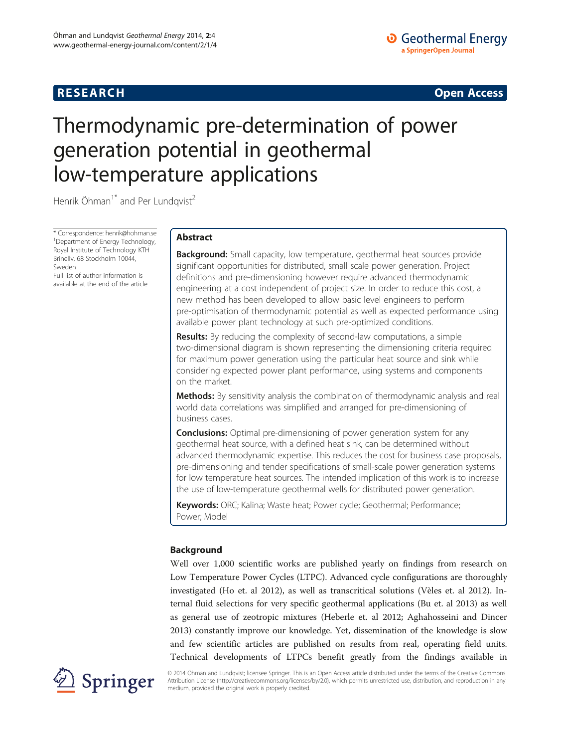# **RESEARCH CHINESE ARCH CHINESE ARCH CHINESE ARCH <b>CHINESE ARCH**

# Thermodynamic pre-determination of power generation potential in geothermal low-temperature applications

Henrik Öhman<sup>1\*</sup> and Per Lundqvist<sup>2</sup>

\* Correspondence: [henrik@hohman.se](mailto:henrik@hohman.se) <sup>1</sup> <sup>1</sup>Department of Energy Technology, Royal Institute of Technology KTH Brinellv, 68 Stockholm 10044, Sweden

Full list of author information is available at the end of the article

# Abstract

**Background:** Small capacity, low temperature, geothermal heat sources provide significant opportunities for distributed, small scale power generation. Project definitions and pre-dimensioning however require advanced thermodynamic engineering at a cost independent of project size. In order to reduce this cost, a new method has been developed to allow basic level engineers to perform pre-optimisation of thermodynamic potential as well as expected performance using available power plant technology at such pre-optimized conditions.

**Results:** By reducing the complexity of second-law computations, a simple two-dimensional diagram is shown representing the dimensioning criteria required for maximum power generation using the particular heat source and sink while considering expected power plant performance, using systems and components on the market.

**Methods:** By sensitivity analysis the combination of thermodynamic analysis and real world data correlations was simplified and arranged for pre-dimensioning of business cases.

**Conclusions:** Optimal pre-dimensioning of power generation system for any geothermal heat source, with a defined heat sink, can be determined without advanced thermodynamic expertise. This reduces the cost for business case proposals, pre-dimensioning and tender specifications of small-scale power generation systems for low temperature heat sources. The intended implication of this work is to increase the use of low-temperature geothermal wells for distributed power generation.

Keywords: ORC; Kalina; Waste heat; Power cycle; Geothermal; Performance; Power; Model

# Background

Well over 1,000 scientific works are published yearly on findings from research on Low Temperature Power Cycles (LTPC). Advanced cycle configurations are thoroughly investigated (Ho et. al [2012\)](#page-9-0), as well as transcritical solutions (Vèles et. al [2012](#page-9-0)). Internal fluid selections for very specific geothermal applications (Bu et. al [2013\)](#page-9-0) as well as general use of zeotropic mixtures (Heberle et. al [2012;](#page-9-0) Aghahosseini and Dincer [2013](#page-9-0)) constantly improve our knowledge. Yet, dissemination of the knowledge is slow and few scientific articles are published on results from real, operating field units. Technical developments of LTPCs benefit greatly from the findings available in



© 2014 Öhman and Lundqvist; licensee Springer. This is an Open Access article distributed under the terms of the Creative Commons Attribution License [\(http://creativecommons.org/licenses/by/2.0\)](http://creativecommons.org/licenses/by/2.0), which permits unrestricted use, distribution, and reproduction in any medium, provided the original work is properly credited.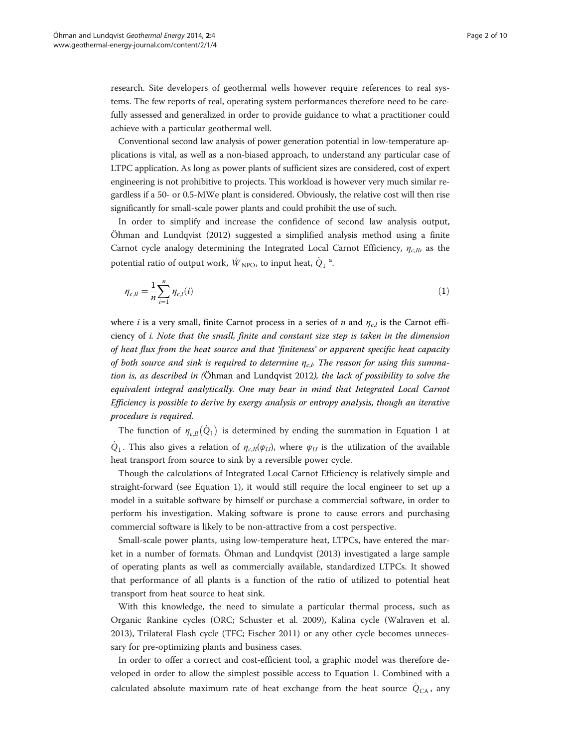<span id="page-1-0"></span>research. Site developers of geothermal wells however require references to real systems. The few reports of real, operating system performances therefore need to be carefully assessed and generalized in order to provide guidance to what a practitioner could achieve with a particular geothermal well.

Conventional second law analysis of power generation potential in low-temperature applications is vital, as well as a non-biased approach, to understand any particular case of LTPC application. As long as power plants of sufficient sizes are considered, cost of expert engineering is not prohibitive to projects. This workload is however very much similar regardless if a 50- or 0.5-MWe plant is considered. Obviously, the relative cost will then rise significantly for small-scale power plants and could prohibit the use of such.

In order to simplify and increase the confidence of second law analysis output, Öhman and Lundqvist [\(2012\)](#page-9-0) suggested a simplified analysis method using a finite Carnot cycle analogy determining the Integrated Local Carnot Efficiency,  $\eta_{c,II}$ , as the potential ratio of output work,  $\dot{W}_{\rm NPO}$ , to input heat,  $\dot{Q}_1$  <sup>a</sup>.

$$
\eta_{c,l} = \frac{1}{n} \sum_{i=1}^{n} \eta_{c,l}(i)
$$
\n(1)

where *i* is a very small, finite Carnot process in a series of *n* and  $\eta_{c,l}$  is the Carnot efficiency of i. Note that the small, finite and constant size step is taken in the dimension of heat flux from the heat source and that 'finiteness' or apparent specific heat capacity of both source and sink is required to determine  $\eta_{c,l}$ . The reason for using this summation is, as described in (Öhman and Lundqvist [2012](#page-9-0)), the lack of possibility to solve the equivalent integral analytically. One may bear in mind that Integrated Local Carnot Efficiency is possible to derive by exergy analysis or entropy analysis, though an iterative procedure is required.

The function of  $\eta_{c,\vec{I}}(Q_1)$  is determined by ending the summation in Equation 1 at  $Q_1$ . This also gives a relation of  $\eta_{c,II}(\psi_{U})$ , where  $\psi_{U}$  is the utilization of the available heat transport from source to sink by a reversible power cycle.

Though the calculations of Integrated Local Carnot Efficiency is relatively simple and straight-forward (see Equation 1), it would still require the local engineer to set up a model in a suitable software by himself or purchase a commercial software, in order to perform his investigation. Making software is prone to cause errors and purchasing commercial software is likely to be non-attractive from a cost perspective.

Small-scale power plants, using low-temperature heat, LTPCs, have entered the market in a number of formats. Öhman and Lundqvist [\(2013\)](#page-9-0) investigated a large sample of operating plants as well as commercially available, standardized LTPCs. It showed that performance of all plants is a function of the ratio of utilized to potential heat transport from heat source to heat sink.

With this knowledge, the need to simulate a particular thermal process, such as Organic Rankine cycles (ORC; Schuster et al. [2009](#page-9-0)), Kalina cycle (Walraven et al. [2013](#page-9-0)), Trilateral Flash cycle (TFC; Fischer [2011\)](#page-9-0) or any other cycle becomes unnecessary for pre-optimizing plants and business cases.

In order to offer a correct and cost-efficient tool, a graphic model was therefore developed in order to allow the simplest possible access to Equation 1. Combined with a calculated absolute maximum rate of heat exchange from the heat source  $Q_{CA}$ , any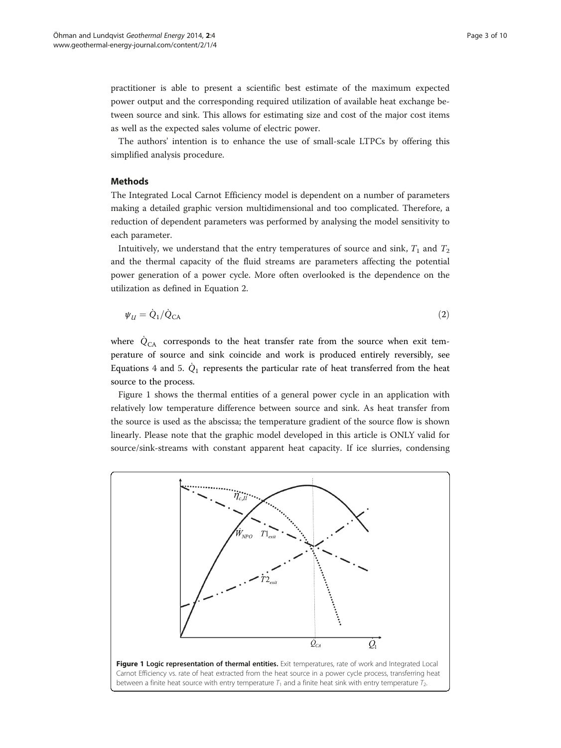<span id="page-2-0"></span>practitioner is able to present a scientific best estimate of the maximum expected power output and the corresponding required utilization of available heat exchange between source and sink. This allows for estimating size and cost of the major cost items as well as the expected sales volume of electric power.

The authors' intention is to enhance the use of small-scale LTPCs by offering this simplified analysis procedure.

## Methods

The Integrated Local Carnot Efficiency model is dependent on a number of parameters making a detailed graphic version multidimensional and too complicated. Therefore, a reduction of dependent parameters was performed by analysing the model sensitivity to each parameter.

Intuitively, we understand that the entry temperatures of source and sink,  $T_1$  and  $T_2$ and the thermal capacity of the fluid streams are parameters affecting the potential power generation of a power cycle. More often overlooked is the dependence on the utilization as defined in Equation 2.

$$
\psi_{\mathcal{U}} = \dot{Q}_1 / \dot{Q}_{\mathsf{CA}} \tag{2}
$$

where  $\dot{Q}_{CA}$  corresponds to the heat transfer rate from the source when exit temperature of source and sink coincide and work is produced entirely reversibly, see Equations [4](#page-3-0) and [5.](#page-3-0)  $\dot{Q}_1$  represents the particular rate of heat transferred from the heat source to the process.

Figure 1 shows the thermal entities of a general power cycle in an application with relatively low temperature difference between source and sink. As heat transfer from the source is used as the abscissa; the temperature gradient of the source flow is shown linearly. Please note that the graphic model developed in this article is ONLY valid for source/sink-streams with constant apparent heat capacity. If ice slurries, condensing

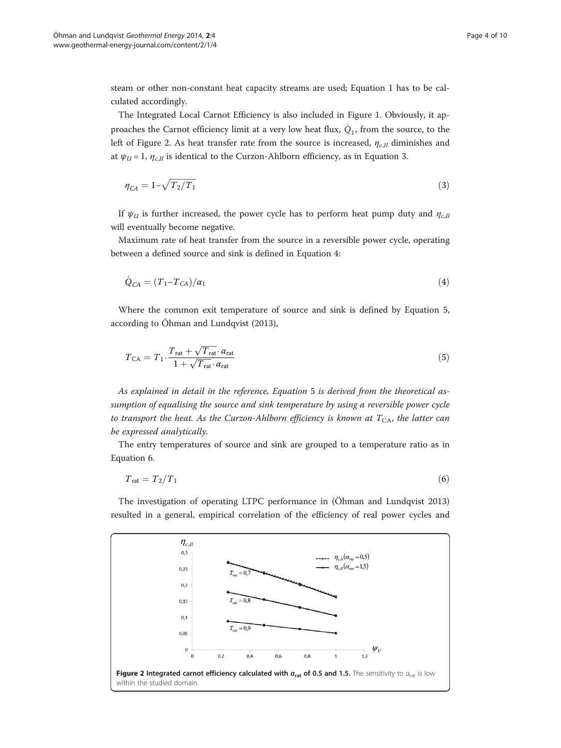<span id="page-3-0"></span>steam or other non-constant heat capacity streams are used; Equation [1](#page-1-0) has to be calculated accordingly.

The Integrated Local Carnot Efficiency is also included in Figure 1. Obviously, it approaches the Carnot efficiency limit at a very low heat flux,  $Q_1$ , from the source, to the left of Figure 2. As heat transfer rate from the source is increased,  $\eta_{c,II}$  diminishes and at  $\psi_{U}$  = 1,  $\eta_{c,H}$  is identical to the Curzon-Ahlborn efficiency, as in Equation 3.

$$
\eta_{CA} = 1 - \sqrt{T_2/T_1} \tag{3}
$$

If  $\psi_{U}$  is further increased, the power cycle has to perform heat pump duty and  $\eta_{c,U}$ will eventually become negative.

Maximum rate of heat transfer from the source in a reversible power cycle, operating between a defined source and sink is defined in Equation 4:

$$
\dot{Q}_{CA} = (T_1 - T_{CA})/\alpha_1\tag{4}
$$

Where the common exit temperature of source and sink is defined by Equation 5, according to Öhman and Lundqvist [\(2013](#page-9-0)),

$$
T_{\rm CA} = T_1 \cdot \frac{T_{\rm rat} + \sqrt{T_{\rm rat}} \cdot \alpha_{\rm rat}}{1 + \sqrt{T_{\rm rat}} \cdot \alpha_{\rm rat}} \tag{5}
$$

As explained in detail in the reference, Equation 5 is derived from the theoretical assumption of equalising the source and sink temperature by using a reversible power cycle to transport the heat. As the Curzon-Ahlborn efficiency is known at  $T_{CA}$ , the latter can be expressed analytically.

The entry temperatures of source and sink are grouped to a temperature ratio as in Equation 6.

$$
T_{\rm rat} = T_2/T_1 \tag{6}
$$

The investigation of operating LTPC performance in (Öhman and Lundqvist [2013](#page-9-0)) resulted in a general, empirical correlation of the efficiency of real power cycles and

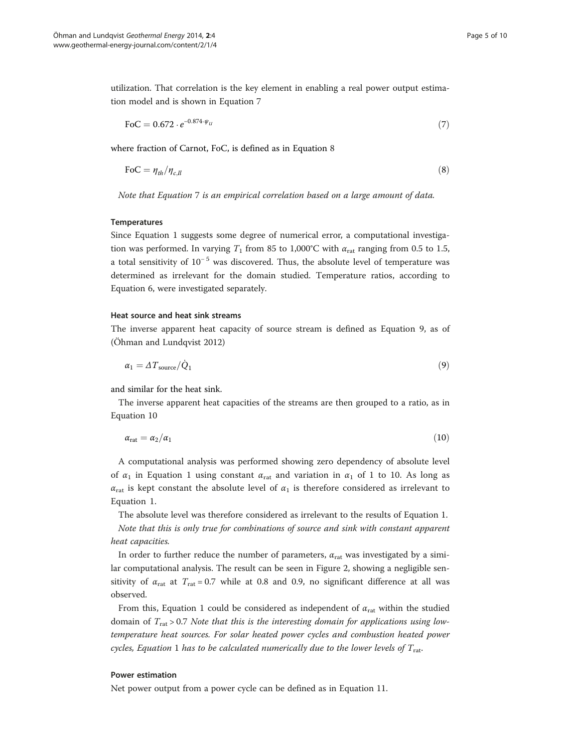<span id="page-4-0"></span>utilization. That correlation is the key element in enabling a real power output estimation model and is shown in Equation 7

$$
FoC = 0.672 \cdot e^{-0.874 \cdot \psi_{U}} \tag{7}
$$

where fraction of Carnot, FoC, is defined as in Equation 8

$$
\text{FoC} = \eta_{th} / \eta_{c,ll} \tag{8}
$$

Note that Equation 7 is an empirical correlation based on a large amount of data.

#### **Temperatures**

Since Equation [1](#page-1-0) suggests some degree of numerical error, a computational investigation was performed. In varying  $T_1$  from 85 to 1,000°C with  $\alpha_{\text{rat}}$  ranging from 0.5 to 1.5, a total sensitivity of  $10^{-5}$  was discovered. Thus, the absolute level of temperature was determined as irrelevant for the domain studied. Temperature ratios, according to Equation [6](#page-3-0), were investigated separately.

#### Heat source and heat sink streams

The inverse apparent heat capacity of source stream is defined as Equation 9, as of (Öhman and Lundqvist [2012\)](#page-9-0)

$$
\alpha_1 = \Delta T_{\text{source}} / \dot{Q}_1 \tag{9}
$$

and similar for the heat sink.

The inverse apparent heat capacities of the streams are then grouped to a ratio, as in Equation 10

$$
\alpha_{\rm rat} = \alpha_2/\alpha_1 \tag{10}
$$

A computational analysis was performed showing zero dependency of absolute level of  $\alpha_1$  in Equation [1](#page-1-0) using constant  $\alpha_{\text{rat}}$  and variation in  $\alpha_1$  of 1 to 10. As long as  $\alpha_{\text{rat}}$  is kept constant the absolute level of  $\alpha_1$  is therefore considered as irrelevant to Equation [1](#page-1-0).

The absolute level was therefore considered as irrelevant to the results of Equation [1](#page-1-0). Note that this is only true for combinations of source and sink with constant apparent heat capacities.

In order to further reduce the number of parameters,  $\alpha_{\text{rat}}$  was investigated by a similar computational analysis. The result can be seen in Figure 2, showing a negligible sensitivity of  $\alpha_{\text{rat}}$  at  $T_{\text{rat}} = 0.7$  while at 0.8 and 0.9, no significant difference at all was observed.

From this, Equation [1](#page-1-0) could be considered as independent of  $\alpha_{\text{rat}}$  within the studied domain of  $T_{\text{rat}} > 0.7$  Note that this is the interesting domain for applications using lowtemperature heat sources. For solar heated power cycles and combustion heated power cycles, Equation [1](#page-1-0) has to be calculated numerically due to the lower levels of  $T_{\text{rat}}$ .

## Power estimation

Net power output from a power cycle can be defined as in Equation [11.](#page-5-0)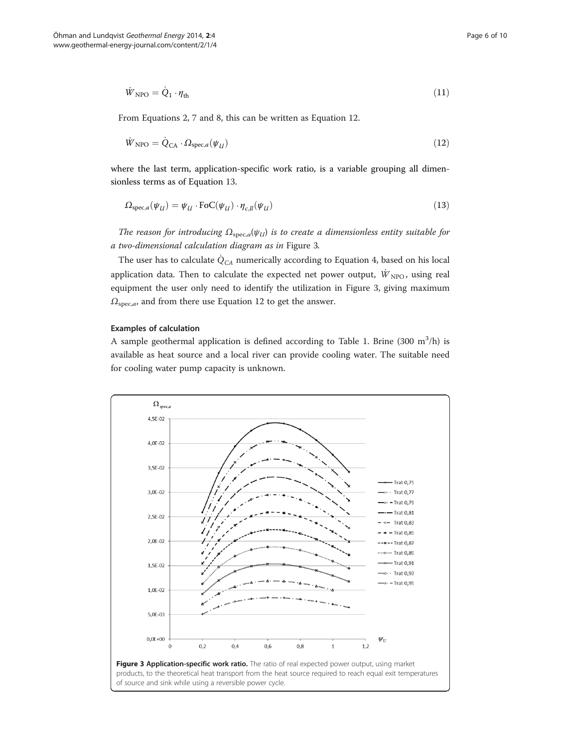<span id="page-5-0"></span>
$$
\dot{W}_{\rm NPO} = \dot{Q}_1 \cdot \eta_{\rm th} \tag{11}
$$

From Equations [2](#page-2-0), [7](#page-4-0) and [8,](#page-4-0) this can be written as Equation 12.

$$
\dot{W}_{\rm NPO} = \dot{Q}_{\rm CA} \cdot \Omega_{\rm spec,a}(\psi_{U}) \tag{12}
$$

where the last term, application-specific work ratio, is a variable grouping all dimensionless terms as of Equation 13.

$$
\Omega_{\text{spec},a}(\psi_{U}) = \psi_{U} \cdot \text{FoC}(\psi_{U}) \cdot \eta_{c,\text{II}}(\psi_{U}) \tag{13}
$$

The reason for introducing  $\Omega_{\text{spec},a}(\psi_{U})$  is to create a dimensionless entity suitable for a two-dimensional calculation diagram as in Figure 3.

The user has to calculate  $\dot{Q}_{CA}$  numerically according to Equation [4,](#page-3-0) based on his local application data. Then to calculate the expected net power output,  $\dot{W}_{\text{NPO}}$ , using real equipment the user only need to identify the utilization in Figure 3, giving maximum  $\Omega_{\text{spec},a}$ , and from there use Equation 12 to get the answer.

# Examples of calculation

A sample geothermal application is defined according to Table [1](#page-6-0). Brine  $(300 \text{ m}^3/\text{h})$  is available as heat source and a local river can provide cooling water. The suitable need for cooling water pump capacity is unknown.

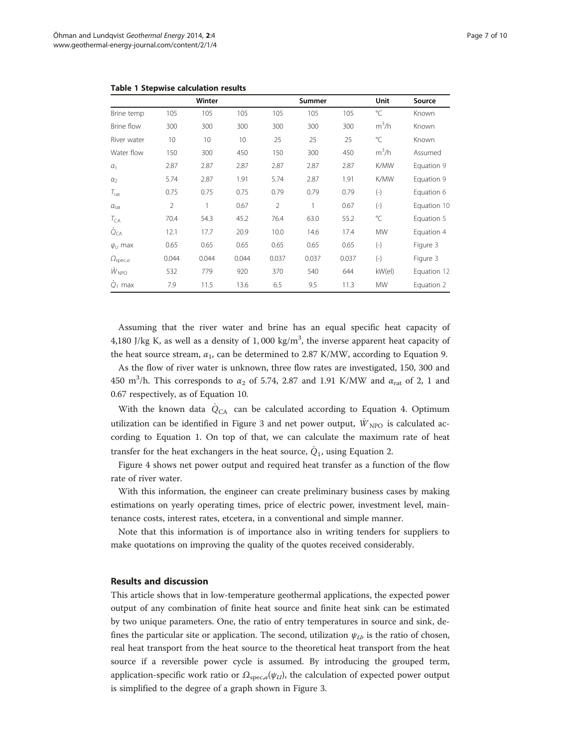| Brine temp                    | Winter         |                 |       | Summer         |       |       | Unit         | Source      |
|-------------------------------|----------------|-----------------|-------|----------------|-------|-------|--------------|-------------|
|                               | 105            | 105             | 105   | 105            | 105   | 105   | °C           | Known       |
| <b>Brine flow</b>             | 300            | 300             | 300   | 300            | 300   | 300   | $m^3/h$      | Known       |
| River water                   | 10             | 10 <sup>°</sup> | 10    | 25             | 25    | 25    | °C           | Known       |
| Water flow                    | 150            | 300             | 450   | 150            | 300   | 450   | $m^3/h$      | Assumed     |
| $a_1$                         | 2.87           | 2.87            | 2.87  | 2.87           | 2.87  | 2.87  | <b>K/MW</b>  | Equation 9  |
| a <sub>2</sub>                | 5.74           | 2.87            | 1.91  | 5.74           | 2.87  | 1.91  | <b>K/MW</b>  | Equation 9  |
| $T_{\rm rat}$                 | 0.75           | 0.75            | 0.75  | 0.79           | 0.79  | 0.79  | $(-)$        | Equation 6  |
| a <sub>rat</sub>              | $\overline{2}$ |                 | 0.67  | $\overline{2}$ |       | 0.67  | $(-)$        | Equation 10 |
| $T_{CA}$                      | 70.4           | 54.3            | 45.2  | 76.4           | 63.0  | 55.2  | $^{\circ}$ C | Equation 5  |
| $Q_{CA}$                      | 12.1           | 17.7            | 20.9  | 10.0           | 14.6  | 17.4  | <b>MW</b>    | Equation 4  |
| $\psi_{IJ}$ max               | 0.65           | 0.65            | 0.65  | 0.65           | 0.65  | 0.65  | $(-)$        | Figure 3    |
| $\varOmega_{\mathsf{spec},a}$ | 0.044          | 0.044           | 0.044 | 0.037          | 0.037 | 0.037 | $(-)$        | Figure 3    |
| $\dot{W}_{\text{NPO}}$        | 532            | 779             | 920   | 370            | 540   | 644   | kW(el)       | Equation 12 |
| $Q_1$ max                     | 7.9            | 11.5            | 13.6  | 6.5            | 9.5   | 11.3  | <b>MW</b>    | Equation 2  |

<span id="page-6-0"></span>

|  |  |  | <b>Table 1 Stepwise calculation results</b> |  |
|--|--|--|---------------------------------------------|--|
|--|--|--|---------------------------------------------|--|

Assuming that the river water and brine has an equal specific heat capacity of 4,180 J/kg K, as well as a density of 1,000 kg/m<sup>3</sup>, the inverse apparent heat capacity of the heat source stream,  $\alpha_1$ , can be determined to 2.87 K/MW, according to Equation [9](#page-4-0).

As the flow of river water is unknown, three flow rates are investigated, 150, 300 and 450 m<sup>3</sup>/h. This corresponds to  $\alpha_2$  of 5.74, 2.87 and 1.91 K/MW and  $\alpha_{\text{rat}}$  of 2, 1 and 0.67 respectively, as of Equation [10.](#page-4-0)

With the known data  $\dot{Q}_{CA}$  can be calculated according to Equation [4.](#page-3-0) Optimum utilization can be identified in Figure 3 and net power output,  $\dot{W}_{\text{NPO}}$  is calculated according to Equation [1](#page-1-0). On top of that, we can calculate the maximum rate of heat transfer for the heat exchangers in the heat source,  $\dot{Q}_1$ , using Equation [2.](#page-2-0)

Figure 4 shows net power output and required heat transfer as a function of the flow rate of river water.

With this information, the engineer can create preliminary business cases by making estimations on yearly operating times, price of electric power, investment level, maintenance costs, interest rates, etcetera, in a conventional and simple manner.

Note that this information is of importance also in writing tenders for suppliers to make quotations on improving the quality of the quotes received considerably.

## Results and discussion

This article shows that in low-temperature geothermal applications, the expected power output of any combination of finite heat source and finite heat sink can be estimated by two unique parameters. One, the ratio of entry temperatures in source and sink, defines the particular site or application. The second, utilization  $\psi_{1b}$  is the ratio of chosen, real heat transport from the heat source to the theoretical heat transport from the heat source if a reversible power cycle is assumed. By introducing the grouped term, application-specific work ratio or  $\Omega_{\text{spec},a}(\psi_{U})$ , the calculation of expected power output is simplified to the degree of a graph shown in Figure 3.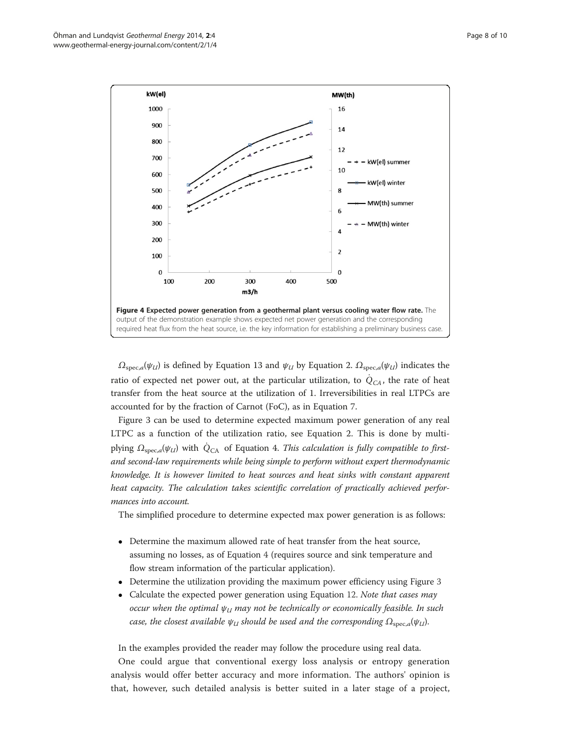

 $\Omega_{\text{spec},a}(\psi_{U})$  is defined by Equation [13](#page-5-0) and  $\psi_{U}$  by Equation [2](#page-2-0).  $\Omega_{\text{spec},a}(\psi_{U})$  indicates the ratio of expected net power out, at the particular utilization, to  $\dot{Q}_{CA}$ , the rate of heat transfer from the heat source at the utilization of 1. Irreversibilities in real LTPCs are accounted for by the fraction of Carnot (FoC), as in Equation [7](#page-4-0).

Figure 3 can be used to determine expected maximum power generation of any real LTPC as a function of the utilization ratio, see Equation [2.](#page-2-0) This is done by multiplying  $\Omega_{\text{spec},a}(\psi_{U})$  with  $\dot{Q}_{CA}$  of Equation [4](#page-3-0). This calculation is fully compatible to firstand second-law requirements while being simple to perform without expert thermodynamic knowledge. It is however limited to heat sources and heat sinks with constant apparent heat capacity. The calculation takes scientific correlation of practically achieved performances into account.

The simplified procedure to determine expected max power generation is as follows:

- Determine the maximum allowed rate of heat transfer from the heat source, assuming no losses, as of Equation [4](#page-3-0) (requires source and sink temperature and flow stream information of the particular application).
- Determine the utilization providing the maximum power efficiency using Figure 3
- - Calculate the expected power generation using Equation [12.](#page-5-0) Note that cases may occur when the optimal  $\psi_U$  may not be technically or economically feasible. In such case, the closest available  $\psi_U$  should be used and the corresponding  $\Omega_{\text{spec},a}(\psi_U)$ .

In the examples provided the reader may follow the procedure using real data.

One could argue that conventional exergy loss analysis or entropy generation analysis would offer better accuracy and more information. The authors' opinion is that, however, such detailed analysis is better suited in a later stage of a project,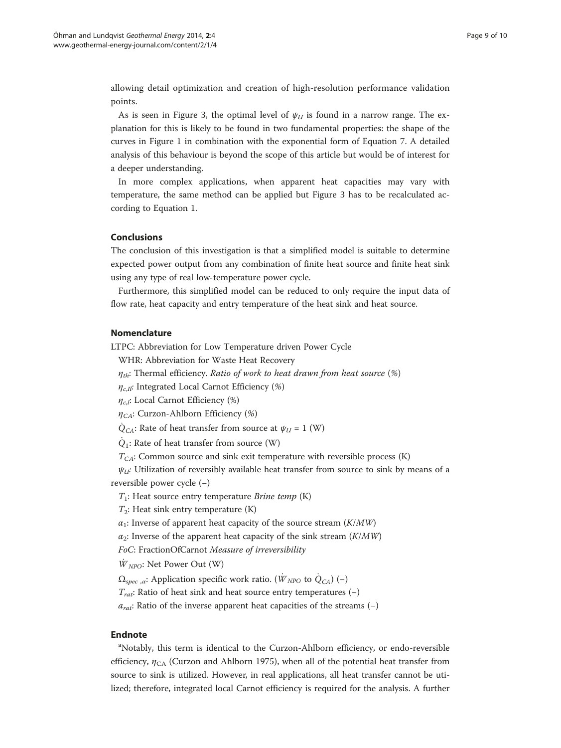allowing detail optimization and creation of high-resolution performance validation points.

As is seen in Figure 3, the optimal level of  $\psi_U$  is found in a narrow range. The explanation for this is likely to be found in two fundamental properties: the shape of the curves in Figure 1 in combination with the exponential form of Equation [7.](#page-4-0) A detailed analysis of this behaviour is beyond the scope of this article but would be of interest for a deeper understanding.

In more complex applications, when apparent heat capacities may vary with temperature, the same method can be applied but Figure 3 has to be recalculated according to Equation [1](#page-1-0).

# Conclusions

The conclusion of this investigation is that a simplified model is suitable to determine expected power output from any combination of finite heat source and finite heat sink using any type of real low-temperature power cycle.

Furthermore, this simplified model can be reduced to only require the input data of flow rate, heat capacity and entry temperature of the heat sink and heat source.

# Nomenclature

LTPC: Abbreviation for Low Temperature driven Power Cycle

WHR: Abbreviation for Waste Heat Recovery

 $\eta_{th}$ : Thermal efficiency. Ratio of work to heat drawn from heat source (%)

 $\eta_{c,I}$ : Integrated Local Carnot Efficiency (%)

 $\eta_{c,l}$ : Local Carnot Efficiency (%)

 $\eta_{CA}$ : Curzon-Ahlborn Efficiency (%)

 $\dot{Q}_{CA}$ : Rate of heat transfer from source at  $\psi_U = 1$  (W)

 $\dot{Q}_1$ : Rate of heat transfer from source (W)

 $T_{CA}$ : Common source and sink exit temperature with reversible process (K)

 $\psi_{U}$ : Utilization of reversibly available heat transfer from source to sink by means of a reversible power cycle (−)

 $T_1$ : Heat source entry temperature Brine temp (K)

 $T_2$ : Heat sink entry temperature  $(K)$ 

 $\alpha_1$ : Inverse of apparent heat capacity of the source stream ( $K/MW$ )

 $\alpha_2$ : Inverse of the apparent heat capacity of the sink stream ( $K/MW$ )

FoC: FractionOfCarnot Measure of irreversibility

 $\dot{W}_{NPO}$ : Net Power Out (W)

 $\Omega_{\text{spec } \alpha}$ : Application specific work ratio. ( $\dot{W}_{NPO}$  to  $\dot{Q}_{CA}$ ) (−)

 $T_{rat}$ : Ratio of heat sink and heat source entry temperatures (−)

 $a_{rat}$ : Ratio of the inverse apparent heat capacities of the streams (−)

# Endnote

<sup>a</sup>Notably, this term is identical to the Curzon-Ahlborn efficiency, or endo-reversible efficiency,  $\eta_{CA}$  (Curzon and Ahlborn [1975](#page-9-0)), when all of the potential heat transfer from source to sink is utilized. However, in real applications, all heat transfer cannot be utilized; therefore, integrated local Carnot efficiency is required for the analysis. A further